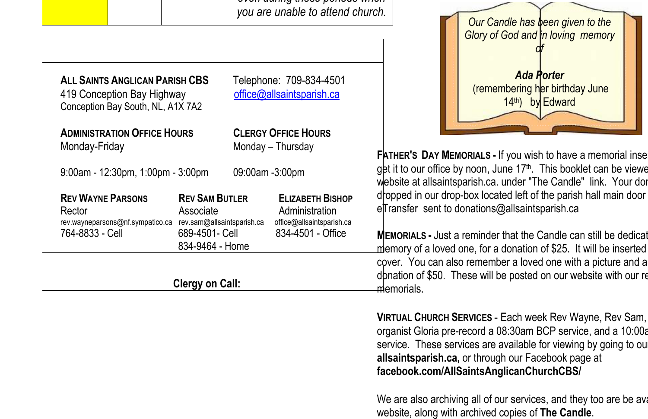| <b>ALL SAINTS ANGLICAN PARISH CBS</b><br>419 Conception Bay Highway                       |                                                                                                       | Telephone: 709-834-4501<br>office@allsaintsparish.ca |                                                                                             |                                                 |
|-------------------------------------------------------------------------------------------|-------------------------------------------------------------------------------------------------------|------------------------------------------------------|---------------------------------------------------------------------------------------------|-------------------------------------------------|
| Conception Bay South, NL, A1X 7A2<br><b>ADMINISTRATION OFFICE HOURS</b><br>Monday-Friday  |                                                                                                       | <b>CLERGY OFFICE HOURS</b><br>Monday - Thursday      |                                                                                             | <b>FATHER's</b>                                 |
| $9:00$ am - 12:30pm, 1:00pm - 3:00pm                                                      |                                                                                                       | 09:00am -3:00pm                                      |                                                                                             | get it to d<br>website a                        |
| <b>REV WAYNE PARSONS</b><br>Rector<br>rev.wayneparsons@nf.sympatico.ca<br>764-8833 - Cell | <b>REV SAM BUTLER</b><br>Associate<br>rev.sam@allsaintsparish.ca<br>689-4501- Cell<br>834-9464 - Home |                                                      | <b>ELIZABETH BISHOP</b><br>Administration<br>office@allsaintsparish.ca<br>834-4501 - Office | dropped<br>eTransfe<br><b>MEMORIA</b><br>memory |
| Clergy on Call:                                                                           |                                                                                                       |                                                      |                                                                                             | cover. Y<br>donation<br>memoria                 |



**FATHER'S DAY MEMORIALS -** If you wish to have a memorial inserted our office by noon, June 17<sup>th</sup>. This booklet can be viewe at allsaintsparish.ca. under "The Candle" link. Your don in our drop-box located left of the parish hall main door er sent to donations@allsaintsparish.ca

**ALS -** Just a reminder that the Candle can still be dedicat of a loved one, for a donation of \$25. It will be inserted ou can also remember a loved one with a picture and a of \$50. These will be posted on our website with our regular ıls.

**VIRTUAL CHURCH SERVICES - Each week Rev Wayne, Rev Sam,** organist Gloria pre-record a 08:30am BCP service, and a 10:00a service. These services are available for viewing by going to our **allsaintsparish.ca,** or through our Facebook page at **facebook.com/AllSaintsAnglicanChurchCBS/**

We are also archiving all of our services, and they too are be available on  $\mu$ website, along with archived copies of **The Candle**.